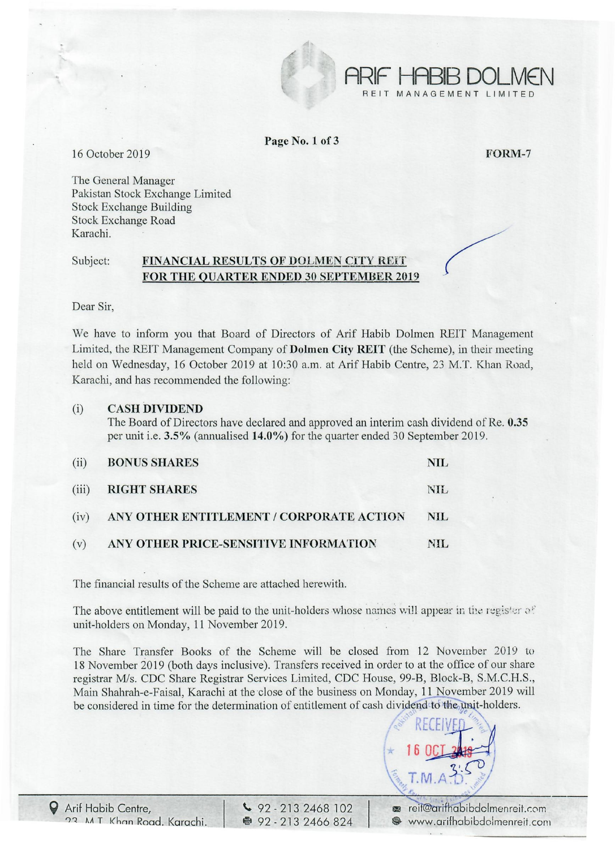

Page No.1 of 3

16 October 2019 **FORM-7** 

The General Manager Pakistan Stock Exchange Limited Stock Exchange Building Stock Exchange Road Karachi.

## Subject: FINANCIAL RESULTS OF DOLMEN CITY REIT FOR THE QUARTER ENDED 30 SEPTEMBER 2019

Dear Sir,

We have to inform you that Board of Directors of Arif Habib Dolmen REIT Management Limited, the REIT Management Company of Dolmen City REIT (the Scheme), in their meeting held on Wednesday, 16 October 2019 at 10:30 a.m. at Arif Habib Centre, 23 M.T. Khan Road, Karachi, and has recommended the following:

## (i) CASH DIVIDEND

The Board of Directors have declared and approved an interim cash dividend of Re. 0.35 per unit i.e. 3.5% (annualised 14.0%) for the quarter ended 30 September 2019.

| (ii) | <b>BONUS SHARES</b>                           | NIL. |
|------|-----------------------------------------------|------|
|      | (iii) RIGHT SHARES                            | NII. |
|      | (iv) ANY OTHER ENTITLEMENT / CORPORATE ACTION | NIL. |
| (v)  | ANY OTHER PRICE-SENSITIVE INFORMATION         | NH.  |

The financial results of the Scheme are attached herewith.

The above entitlement will be paid to the unit-holders whose names will appear in the register of unit-holders on Monday, 11 November 2019. .

The Share Transfer Books of the Scheme will be closed from 12 November 2019 to 18 November 2019 (both days inclusive). Transfers received in order to at the office of our share registrar *Mis.* CDC Share Registrar Services Limited, CDC House, 99-B, Block-B, S.M.C.H.S., Main Shahrah-e-Faisal, Karachi at the close of the business on Monday, 11 November 2019 will be considered in time for the determination of entitlement of cash dividend to the unit-holders.



**ARIF HABIB DOLMEN** 

NAGEMENT LIMITED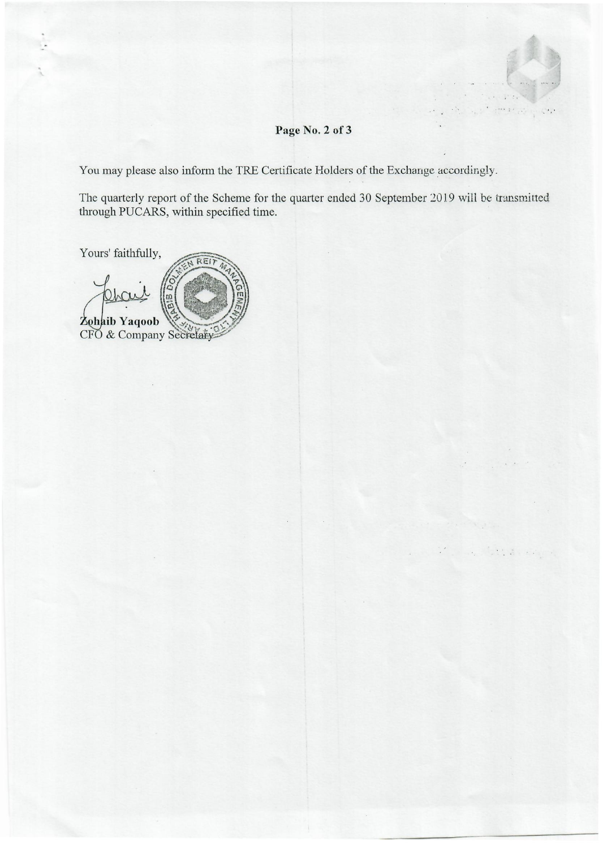# **Page No.2 of 3**

You may please also inform the TRE Certificate Holders of the Exchange accordingly.

The quarterly report of the Scheme for the quarter ended 30 September 2019 will be transmitted through PUCARS, within specified time.

Yours' faithfully,

REIT Zohaib Yaqoob CFO & Company Secretary